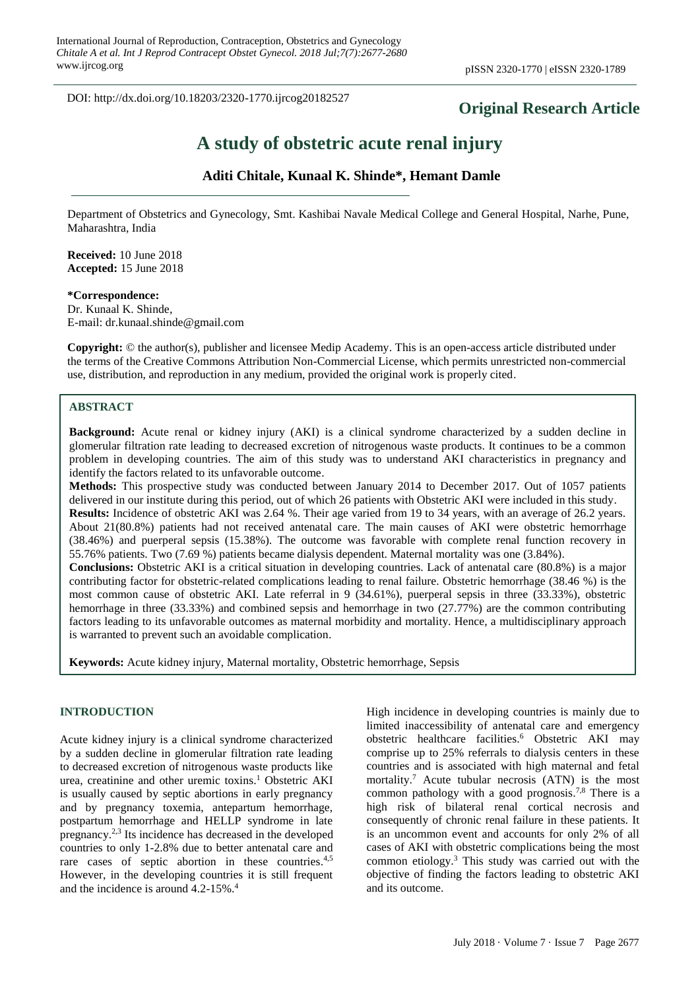DOI: http://dx.doi.org/10.18203/2320-1770.ijrcog20182527

## **Original Research Article**

# **A study of obstetric acute renal injury**

## **Aditi Chitale, Kunaal K. Shinde\*, Hemant Damle**

Department of Obstetrics and Gynecology, Smt. Kashibai Navale Medical College and General Hospital, Narhe, Pune, Maharashtra, India

**Received:** 10 June 2018 **Accepted:** 15 June 2018

**\*Correspondence:** Dr. Kunaal K. Shinde, E-mail: dr.kunaal.shinde@gmail.com

**Copyright:** © the author(s), publisher and licensee Medip Academy. This is an open-access article distributed under the terms of the Creative Commons Attribution Non-Commercial License, which permits unrestricted non-commercial use, distribution, and reproduction in any medium, provided the original work is properly cited.

## **ABSTRACT**

**Background:** Acute renal or kidney injury (AKI) is a clinical syndrome characterized by a sudden decline in glomerular filtration rate leading to decreased excretion of nitrogenous waste products. It continues to be a common problem in developing countries. The aim of this study was to understand AKI characteristics in pregnancy and identify the factors related to its unfavorable outcome.

**Methods:** This prospective study was conducted between January 2014 to December 2017. Out of 1057 patients delivered in our institute during this period, out of which 26 patients with Obstetric AKI were included in this study. **Results:** Incidence of obstetric AKI was 2.64 %. Their age varied from 19 to 34 years, with an average of 26.2 years. About 21(80.8%) patients had not received antenatal care. The main causes of AKI were obstetric hemorrhage (38.46%) and puerperal sepsis (15.38%). The outcome was favorable with complete renal function recovery in 55.76% patients. Two (7.69 %) patients became dialysis dependent. Maternal mortality was one (3.84%). **Conclusions:** Obstetric AKI is a critical situation in developing countries. Lack of antenatal care (80.8%) is a major contributing factor for obstetric-related complications leading to renal failure. Obstetric hemorrhage (38.46 %) is the most common cause of obstetric AKI. Late referral in 9 (34.61%), puerperal sepsis in three (33.33%), obstetric hemorrhage in three (33.33%) and combined sepsis and hemorrhage in two (27.77%) are the common contributing factors leading to its unfavorable outcomes as maternal morbidity and mortality. Hence, a multidisciplinary approach is warranted to prevent such an avoidable complication.

**Keywords:** Acute kidney injury, Maternal mortality, Obstetric hemorrhage, Sepsis

#### **INTRODUCTION**

Acute kidney injury is a clinical syndrome characterized by a sudden decline in glomerular filtration rate leading to decreased excretion of nitrogenous waste products like urea, creatinine and other uremic toxins. <sup>1</sup> Obstetric AKI is usually caused by septic abortions in early pregnancy and by pregnancy toxemia, antepartum hemorrhage, postpartum hemorrhage and HELLP syndrome in late pregnancy. 2,3 Its incidence has decreased in the developed countries to only 1-2.8% due to better antenatal care and rare cases of septic abortion in these countries.<sup>4,5</sup> However, in the developing countries it is still frequent and the incidence is around 4.2-15%. 4

High incidence in developing countries is mainly due to limited inaccessibility of antenatal care and emergency obstetric healthcare facilities. <sup>6</sup> Obstetric AKI may comprise up to 25% referrals to dialysis centers in these countries and is associated with high maternal and fetal mortality. <sup>7</sup> Acute tubular necrosis (ATN) is the most common pathology with a good prognosis. 7,8 There is a high risk of bilateral renal cortical necrosis and consequently of chronic renal failure in these patients. It is an uncommon event and accounts for only 2% of all cases of AKI with obstetric complications being the most common etiology. <sup>3</sup> This study was carried out with the objective of finding the factors leading to obstetric AKI and its outcome.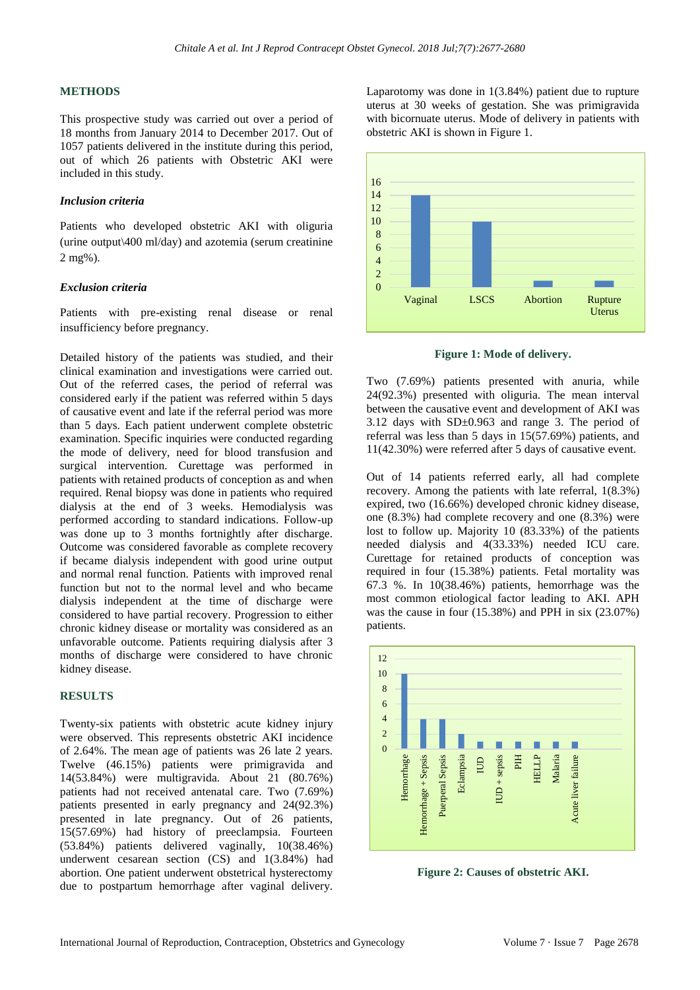#### **METHODS**

This prospective study was carried out over a period of 18 months from January 2014 to December 2017. Out of 1057 patients delivered in the institute during this period, out of which 26 patients with Obstetric AKI were included in this study.

#### *Inclusion criteria*

Patients who developed obstetric AKI with oliguria (urine output\400 ml/day) and azotemia (serum creatinine 2 mg%).

#### *Exclusion criteria*

Patients with pre-existing renal disease or renal insufficiency before pregnancy.

Detailed history of the patients was studied, and their clinical examination and investigations were carried out. Out of the referred cases, the period of referral was considered early if the patient was referred within 5 days of causative event and late if the referral period was more than 5 days. Each patient underwent complete obstetric examination. Specific inquiries were conducted regarding the mode of delivery, need for blood transfusion and surgical intervention. Curettage was performed in patients with retained products of conception as and when required. Renal biopsy was done in patients who required dialysis at the end of 3 weeks. Hemodialysis was performed according to standard indications. Follow-up was done up to 3 months fortnightly after discharge. Outcome was considered favorable as complete recovery if became dialysis independent with good urine output and normal renal function. Patients with improved renal function but not to the normal level and who became dialysis independent at the time of discharge were considered to have partial recovery. Progression to either chronic kidney disease or mortality was considered as an unfavorable outcome. Patients requiring dialysis after 3 months of discharge were considered to have chronic kidney disease.

#### **RESULTS**

Twenty-six patients with obstetric acute kidney injury were observed. This represents obstetric AKI incidence of 2.64%. The mean age of patients was 26 late 2 years. Twelve (46.15%) patients were primigravida and 14(53.84%) were multigravida. About 21 (80.76%) patients had not received antenatal care. Two (7.69%) patients presented in early pregnancy and 24(92.3%) presented in late pregnancy. Out of 26 patients, 15(57.69%) had history of preeclampsia. Fourteen (53.84%) patients delivered vaginally, 10(38.46%) underwent cesarean section (CS) and 1(3.84%) had abortion. One patient underwent obstetrical hysterectomy due to postpartum hemorrhage after vaginal delivery.

Laparotomy was done in 1(3.84%) patient due to rupture uterus at 30 weeks of gestation. She was primigravida with bicornuate uterus. Mode of delivery in patients with obstetric AKI is shown in Figure 1.



**Figure 1: Mode of delivery.**

Two (7.69%) patients presented with anuria, while 24(92.3%) presented with oliguria. The mean interval between the causative event and development of AKI was 3.12 days with  $SD<sub>±</sub>0.963$  and range 3. The period of referral was less than 5 days in 15(57.69%) patients, and 11(42.30%) were referred after 5 days of causative event.

Out of 14 patients referred early, all had complete recovery. Among the patients with late referral, 1(8.3%) expired, two (16.66%) developed chronic kidney disease, one (8.3%) had complete recovery and one (8.3%) were lost to follow up. Majority 10 (83.33%) of the patients needed dialysis and 4(33.33%) needed ICU care. Curettage for retained products of conception was required in four (15.38%) patients. Fetal mortality was 67.3 %. In 10(38.46%) patients, hemorrhage was the most common etiological factor leading to AKI. APH was the cause in four (15.38%) and PPH in six (23.07%) patients.



**Figure 2: Causes of obstetric AKI.**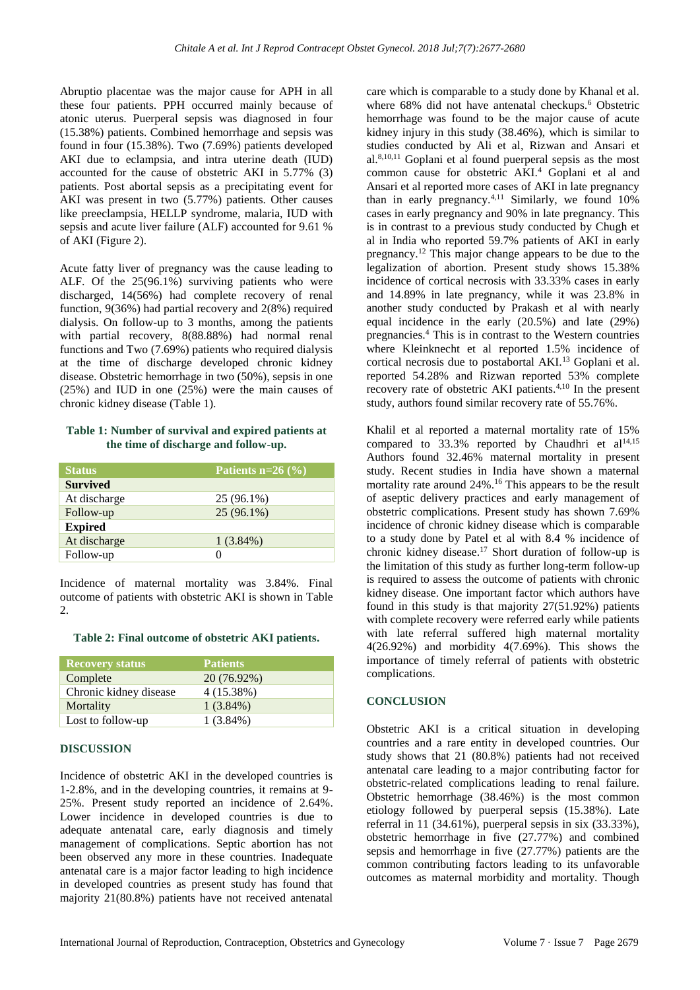Abruptio placentae was the major cause for APH in all these four patients. PPH occurred mainly because of atonic uterus. Puerperal sepsis was diagnosed in four (15.38%) patients. Combined hemorrhage and sepsis was found in four (15.38%). Two (7.69%) patients developed AKI due to eclampsia, and intra uterine death (IUD) accounted for the cause of obstetric AKI in 5.77% (3) patients. Post abortal sepsis as a precipitating event for AKI was present in two (5.77%) patients. Other causes like preeclampsia, HELLP syndrome, malaria, IUD with sepsis and acute liver failure (ALF) accounted for 9.61 % of AKI (Figure 2).

Acute fatty liver of pregnancy was the cause leading to ALF. Of the 25(96.1%) surviving patients who were discharged, 14(56%) had complete recovery of renal function, 9(36%) had partial recovery and 2(8%) required dialysis. On follow-up to 3 months, among the patients with partial recovery, 8(88.88%) had normal renal functions and Two (7.69%) patients who required dialysis at the time of discharge developed chronic kidney disease. Obstetric hemorrhage in two (50%), sepsis in one (25%) and IUD in one (25%) were the main causes of chronic kidney disease (Table 1).

**Table 1: Number of survival and expired patients at the time of discharge and follow-up.**

| <b>Status</b>   | Patients $n=26$ (%) |
|-----------------|---------------------|
| <b>Survived</b> |                     |
| At discharge    | 25 (96.1%)          |
| Follow-up       | $25(96.1\%)$        |
| <b>Expired</b>  |                     |
| At discharge    | $1(3.84\%)$         |
| Follow-up       | 0                   |

Incidence of maternal mortality was 3.84%. Final outcome of patients with obstetric AKI is shown in Table 2.

#### **Table 2: Final outcome of obstetric AKI patients.**

| <b>Recovery status</b> | <b>Patients</b> |
|------------------------|-----------------|
| Complete               | 20 (76.92%)     |
| Chronic kidney disease | 4(15.38%)       |
| Mortality              | $1(3.84\%)$     |
| Lost to follow-up      | $1(3.84\%)$     |

#### **DISCUSSION**

Incidence of obstetric AKI in the developed countries is 1-2.8%, and in the developing countries, it remains at 9- 25%. Present study reported an incidence of 2.64%. Lower incidence in developed countries is due to adequate antenatal care, early diagnosis and timely management of complications. Septic abortion has not been observed any more in these countries. Inadequate antenatal care is a major factor leading to high incidence in developed countries as present study has found that majority 21(80.8%) patients have not received antenatal care which is comparable to a study done by Khanal et al. where 68% did not have antenatal checkups.<sup>6</sup> Obstetric hemorrhage was found to be the major cause of acute kidney injury in this study (38.46%), which is similar to studies conducted by Ali et al, Rizwan and Ansari et al.8,10,11 Goplani et al found puerperal sepsis as the most common cause for obstetric AKI.<sup>4</sup> Goplani et al and Ansari et al reported more cases of AKI in late pregnancy than in early pregnancy.<sup>4,11</sup> Similarly, we found  $10\%$ cases in early pregnancy and 90% in late pregnancy. This is in contrast to a previous study conducted by Chugh et al in India who reported 59.7% patients of AKI in early pregnancy.<sup>12</sup> This major change appears to be due to the legalization of abortion. Present study shows 15.38% incidence of cortical necrosis with 33.33% cases in early and 14.89% in late pregnancy, while it was 23.8% in another study conducted by Prakash et al with nearly equal incidence in the early (20.5%) and late (29%) pregnancies. <sup>4</sup> This is in contrast to the Western countries where Kleinknecht et al reported 1.5% incidence of cortical necrosis due to postabortal AKI.<sup>13</sup> Goplani et al. reported 54.28% and Rizwan reported 53% complete recovery rate of obstetric AKI patients.4,10 In the present study, authors found similar recovery rate of 55.76%.

Khalil et al reported a maternal mortality rate of 15% compared to  $33.3\%$  reported by Chaudhri et al<sup>14,15</sup> Authors found 32.46% maternal mortality in present study. Recent studies in India have shown a maternal mortality rate around 24%. <sup>16</sup> This appears to be the result of aseptic delivery practices and early management of obstetric complications. Present study has shown 7.69% incidence of chronic kidney disease which is comparable to a study done by Patel et al with 8.4 % incidence of chronic kidney disease.<sup>17</sup> Short duration of follow-up is the limitation of this study as further long-term follow-up is required to assess the outcome of patients with chronic kidney disease. One important factor which authors have found in this study is that majority 27(51.92%) patients with complete recovery were referred early while patients with late referral suffered high maternal mortality 4(26.92%) and morbidity 4(7.69%). This shows the importance of timely referral of patients with obstetric complications.

### **CONCLUSION**

Obstetric AKI is a critical situation in developing countries and a rare entity in developed countries. Our study shows that 21 (80.8%) patients had not received antenatal care leading to a major contributing factor for obstetric-related complications leading to renal failure. Obstetric hemorrhage (38.46%) is the most common etiology followed by puerperal sepsis (15.38%). Late referral in 11 (34.61%), puerperal sepsis in six (33.33%), obstetric hemorrhage in five (27.77%) and combined sepsis and hemorrhage in five (27.77%) patients are the common contributing factors leading to its unfavorable outcomes as maternal morbidity and mortality. Though